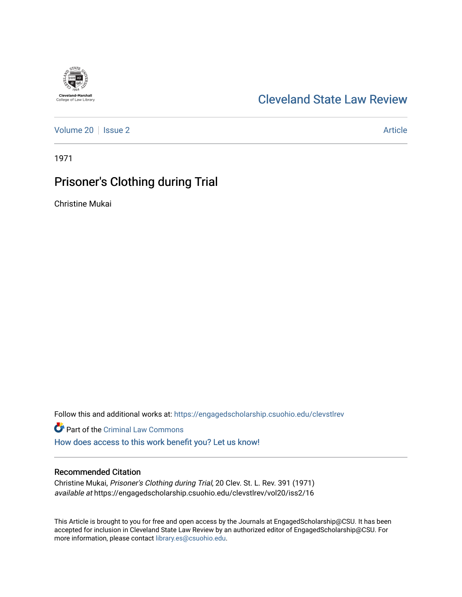# [Cleveland State Law Review](https://engagedscholarship.csuohio.edu/clevstlrev)

[Volume 20](https://engagedscholarship.csuohio.edu/clevstlrev/vol20) | [Issue 2](https://engagedscholarship.csuohio.edu/clevstlrev/vol20/iss2) Article

1971

# Prisoner's Clothing during Trial

Christine Mukai

Follow this and additional works at: [https://engagedscholarship.csuohio.edu/clevstlrev](https://engagedscholarship.csuohio.edu/clevstlrev?utm_source=engagedscholarship.csuohio.edu%2Fclevstlrev%2Fvol20%2Fiss2%2F16&utm_medium=PDF&utm_campaign=PDFCoverPages)

Part of the [Criminal Law Commons](http://network.bepress.com/hgg/discipline/912?utm_source=engagedscholarship.csuohio.edu%2Fclevstlrev%2Fvol20%2Fiss2%2F16&utm_medium=PDF&utm_campaign=PDFCoverPages) 

[How does access to this work benefit you? Let us know!](http://library.csuohio.edu/engaged/)

### Recommended Citation

Christine Mukai, Prisoner's Clothing during Trial, 20 Clev. St. L. Rev. 391 (1971) available at https://engagedscholarship.csuohio.edu/clevstlrev/vol20/iss2/16

This Article is brought to you for free and open access by the Journals at EngagedScholarship@CSU. It has been accepted for inclusion in Cleveland State Law Review by an authorized editor of EngagedScholarship@CSU. For more information, please contact [library.es@csuohio.edu](mailto:library.es@csuohio.edu).

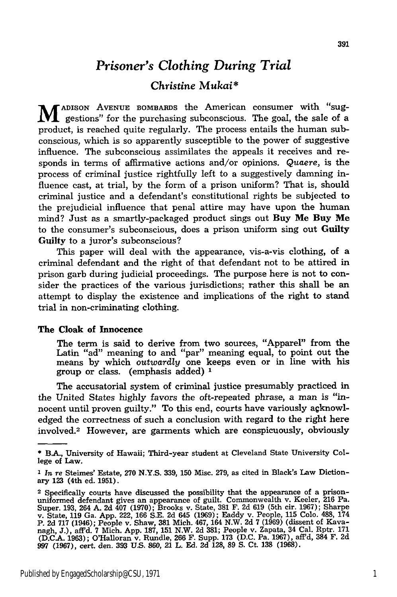## *Prisoner's Clothing During Trial*

### *Christine Mukai\**

**M** ADISON AVENUE BOMBARDS the American consumer with "suggestions" for the purchasing subconscious. The goal, the sale of a product, is reached quite regularly. The process entails the human subconscious, which is so apparently susceptible to the power of suggestive influence. The subconscious assimilates the appeals it receives and responds in terms of affirmative actions and/or opinions. *Quaere,* is the process of criminal justice rightfully left to a suggestively damning influence cast, at trial, **by** the form of a prison uniform? That is, should criminal justice and a defendant's constitutional rights be subjected to the prejudicial influence that penal attire may have upon the human mind? Just as a smartly-packaged product sings out Buy **Me Buy Me** to the consumer's subconscious, does a prison uniform sing out Guilty Guilty to a juror's subconscious?

This paper will deal with the appearance, vis-a-vis clothing, of a criminal defendant and the right of that defendant not to be attired in prison garb during judicial proceedings. The purpose here is not to consider the practices of the various jurisdictions; rather this shall be an attempt to display the existence and implications of the right to stand trial in non-criminating clothing.

#### **The Cloak of Innocence**

The term is said to derive from two sources, "Apparel" from the Latin "ad" meaning to and "par" meaning equal, to point out the means **by** which *outwardly* one keeps even or in line with his group or class. (emphasis added) **1**

The accusatorial system of criminal justice presumably practiced in the United States highly favors the oft-repeated phrase, a man is "innocent until proven guilty." To this end, courts have variously agknowledged the correctness of such a conclusion with regard to the right here involved.<sup>2</sup> However, are garments which are conspicuously, obviously

<sup>\*</sup> **B.A.,** University of Hawaii; Third-year student at Cleveland State University College of Law.

**<sup>1</sup>** *In* re Steimes' Estate, **270 N.Y.S. 339, 150** Misc. **279,** as cited in Black's Law Dictionary **123** (4th ed. **1951).**

<sup>2</sup> Specifically courts have discussed the possibility that the appearance of a prisonuniformed defendant gives an appearance of guilt. Commonwealth v. Keeler, **216** Pa. Super, 193, 264 A. 2d 407 (1970); Brooks v. State, 381 F. 2d 619 (5th cir. 1967); Sharpe<br>v. State, 119 Ga. App. 222, 166 S.E. 2d 645 (1969); Eaddy v. People, 115 Colo. 488, 174 P. 2d 717 (1946); People v. Shaw, 381 Mich. 467, 164 N.W. 2d 7 (1969) (dissent of Kava-<br>nagh, J.), aff'd. 7 Mich. App. 187, 151 N.W. 2d 381; People v. Zapata, 34 Cal. Rptr. 171 (D.C.A. 1963); O'Halloran v. Rundle, 266 F. Supp. 173 (D.C. Pa. 1967), aff'd, 384 F. 2d<br>997 (1967), cert. den. 393 U.S. 860, 21 L. Ed. 2d 128, 89 S. Ct. 138 (1968).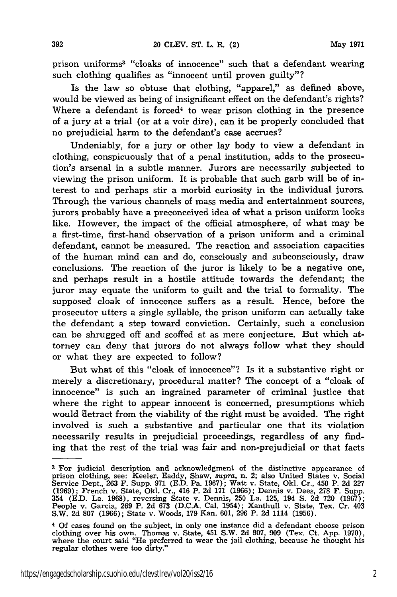prison uniforms3 "cloaks of innocence" such that a defendant wearing such clothing qualifies as "innocent until proven guilty"?

Is the law so obtuse that clothing, "apparel," as defined above, would be viewed as being of insignificant effect on the defendant's rights? Where a defendant is forced<sup>4</sup> to wear prison clothing in the presence of a jury at a trial (or at a voir dire), can it be properly concluded that no prejudicial harm to the defendant's case accrues?

Undeniably, for a jury or other lay body to view a defendant in clothing, conspicuously that of a penal institution, adds to the prosecution's arsenal in a subtle manner. Jurors are necessarily subjected to viewing the prison uniform. It is probable that such garb will be of interest to and perhaps stir a morbid curiosity in the individual jurors. Through the various channels of mass media and entertainment sources, jurors probably have a preconceived idea of what a prison uniform looks like. However, the impact of the official atmosphere, of what may be a first-time, first-hand observation of a prison uniform and a criminal defendant, cannot be measured. The reaction and association capacities of the human mind can and do, consciously and subconsciously, draw conclusions. The reaction of the juror is likely to be a negative one, and perhaps result in a hostile attitude towards the defendant; the juror may equate the uniform to guilt and the trial to formality. The supposed cloak of innocence suffers as a result. Hence, before the prosecutor utters a single syllable, the prison uniform can actually take the defendant a step toward conviction. Certainly, such a conclusion can be shrugged off and scoffed at as mere conjecture. But which attorney can deny that jurors do not always follow what they should or what they are expected to follow?

But what of this "cloak of innocence"? Is it a substantive right or merely a discretionary, procedural matter? The concept of a "cloak of innocence" is such an ingrained parameter of criminal justice that where the right to appear innocent is concerned, presumptions which would detract from the viability of the right must be avoided. The right involved is such a substantive and particular one that its violation necessarily results in prejudicial proceedings, regardless of any finding that the rest of the trial was fair and non-prejudicial or that facts

**<sup>3</sup>** For judicial description and acknowledgment of the distinctive appearance of prison clothing, see: Keeler, Eaddy, Shaw, *supra,* n. 2; also United States v. Social Service Dept., 263 F. Supp. 971 (E.D. Pa. 1967); Watt v. State, Okl. Cr., 450 P. 2d 227 (1969); French v. State, Okl. Cr., 416 P. 2d 171 (1966); Dennis v. Dees, 278 F. Supp.<br>354 (E.D. La. 1968), reversing State v. Dennis, 250 La. 125, 194 S. 2d 720 (1967).<br>People v. Garcia, 269 P. 2d 673 (D.C.A. Cal. 1954); X

<sup>4</sup>Of cases found on the subject, in only one instance did a defendant choose prison clothing over his own. Thomas v. State, 451 S.W. 2d 907, 909 (Tex. Ct. App. 1970), where the court said "He preferred to wear the jail clothing, because he thought his regular clothes were too dirty."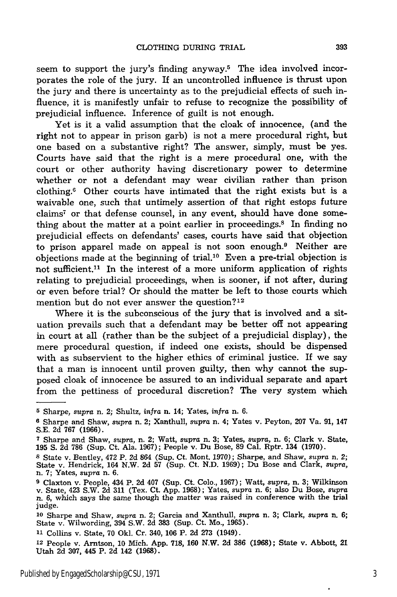seem to support the jury's finding anyway.<sup>5</sup> The idea involved incorporates the role of the jury. If an uncontrolled influence is thrust upon the jury and there is uncertainty as to the prejudicial effects of such influence, it is manifestly unfair to refuse to recognize the possibility of prejudicial influence. Inference of guilt is not enough.

Yet is it a valid assumption that the cloak of innocence, (and the right not to appear in prison garb) is not a mere procedural right, but one based on a substantive right? The answer, simply, must be yes. Courts have said that the right is a mere procedural one, with the court or other authority having discretionary power to determine whether or not a defendant may wear civilian rather than prison clothing.6 Other courts have intimated that the right exists but is a waivable one, such that untimely assertion of that right estops future claims7 or that defense counsel, in any event, should have done something about the matter at a point earlier in proceedings.<sup>8</sup> In finding no prejudicial effects on defendants' cases, courts have said that objection to prison apparel made on appeal is not soon enough.9 Neither are objections made at the beginning of trial.<sup>10</sup> Even a pre-trial objection is not sufficient.<sup>11</sup> In the interest of a more uniform application of rights relating to prejudicial proceedings, when is sooner, if not after, during or even before trial? Or should the matter be left to those courts which mention but do not ever answer the question?<sup>12</sup>

Where it is the subconscious of the jury that is involved and a situation prevails such that a defendant may be better off not appearing in court at all (rather than be the subject of a prejudicial display), the mere procedural question, if indeed one exists, should be dispensed with as subservient to the higher ethics of criminal justice. If we say that a man is innocent until proven guilty, then why cannot the supposed cloak of innocence be assured to an individual separate and apart from the pettiness of procedural discretion? The very system which

**<sup>12</sup>**People v. Arntson, 10 Mich. App. **718, 160** N.W. **2d 386** (1968); State v. Abbott, 21 Utah **2d 307,** 445 P. **2d** 142 **(1968).**

**<sup>5</sup>** Sharpe, *supra* n. 2; Shultz, *infra* n. 14; Yates, *infra* n. 6.

**<sup>6</sup>** Sharpe and Shaw, *supra* n. 2; Xanthull, *supra* n. 4; Yates v. Peyton, 207 Va. 91, 147 S.E. **2d** 767 (1966).

**<sup>7</sup>**Sharpe and Shaw, *supra,* n. 2; Watt, supra n. **3;** Yates, *supra,* n. 6; Clark v. State, 195 S. **2d** 786 (Sup. Ct. Ala. 1967); People v. Du Bose, 89 Cal. Rptr. 134 (1970).

**<sup>8</sup>**State v. Bentley, 472 P. **2d** 864 (Sup. Ct. Mont. 1970); Sharpe, and Shaw, *supra* n. 2; State v. Hendrick, 164 N.W. **2d** 57 (Sup. Ct. N.D. 1969); Du Bose and Clark, supra, n. 7; Yates, supra n. 6.

<sup>&</sup>lt;sup>9</sup> Claxton v. People, 434 P. 2d 407 (Sup. Ct. Colo., 1967); Watt, supra, n. 3; Wilkinson v. State, 423 S.W. 2d 311 (Tex. Ct. App. 1968); Yates, supra n. 6; also Du Bose, supra n. 6, which says the same though the matter judge.

**<sup>10</sup>**Sharpe and Shaw, *supra* n. 2; Garcia and Xanthull, *supra* n. 3; Clark, *supra* n. 6; State v. Wilwording, 394 S.W. **2d** 383 (Sup. Ct. Mo., 1965).

**<sup>11</sup>**Collins v. State, **70** Okl. Cr. 340, **106** P. **2d 273** (1949).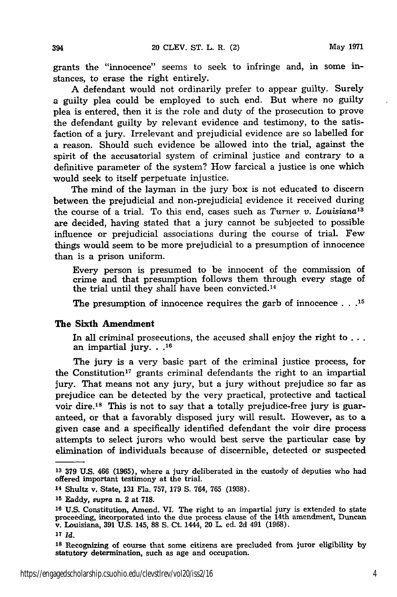grants the "innocence" seems to seek to infringe and, in some instances, to erase the right entirely.

A defendant would not ordinarily prefer to appear guilty. Surely a guilty plea could be employed to such end. But where no guilty plea is entered, then it is the role and duty of the prosecution to prove the defendant guilty by relevant evidence and testimony, to the satisfaction of a jury. Irrelevant and prejudicial evidence are so labelled for a reason. Should such evidence be allowed into the trial, against the spirit of the accusatorial system of criminal justice and contrary to a definitive parameter of the system? How farcical a justice is one which would seek to itself perpetuate injustice.

The mind of the layman in the jury box is not educated to discern between the prejudicial and non-prejudicial evidence it received during the course of a trial. To this end, cases such as *Turner v. Louisiana13* are decided, having stated that a jury cannot be subjected to possible influence or prejudicial associations during the course of trial. Few things would seem to be more prejudicial to a presumption of innocence than is a prison uniform.

Every person is presumed to be innocent of the commission of crime and that presumption follows them through every stage of the trial until they shall have been convicted. <sup>14</sup>

The presumption of innocence requires the garb of innocence **. . .15**

#### The Sixth **Amendment**

In all criminal prosecutions, the accused shall enjoy the right to **. . .** an impartial **jury...16**

The jury is a very basic part of the criminal justice process, for the Constitution<sup>17</sup> grants criminal defendants the right to an impartial jury. That means not any jury, but a jury without prejudice so far as prejudice can be detected **by** the very practical, protective and tactical voir dire.18 This is not to say that a totally prejudice-free jury is guaranteed, or that a favorably disposed jury will result. However, as to a given case and a specifically identified defendant the voir dire process attempts to select jurors who would best serve the particular case **by** elimination of individuals because of discernible, detected or suspected

**17** *Id.*

**<sup>18</sup>**Recognizing of course that some citizens are precluded from juror eligibility by statutory determination, such as age and occupation.

**<sup>13 379</sup> U.S.** 466 **(1965),** where a jury deliberated in the custody of deputies who had offered important testimony at the trial.

**<sup>14</sup>**Shultz v. State, **131** Fla. **757, 179 S.** 764, **765 (1938).**

**<sup>15</sup>**Eaddy, supra n. 2 at **718.**

**<sup>16</sup> U.S.** Constitution, Amend. **VI.** The right to an impartial jury is extended to state proceeding, incorporated into the due process clause of the 14th amendment, Duncan v. Louisiana, **391** U.S. 145, **88 S.** Ct. 1444, 20 L. ed. 2d 491 (1968).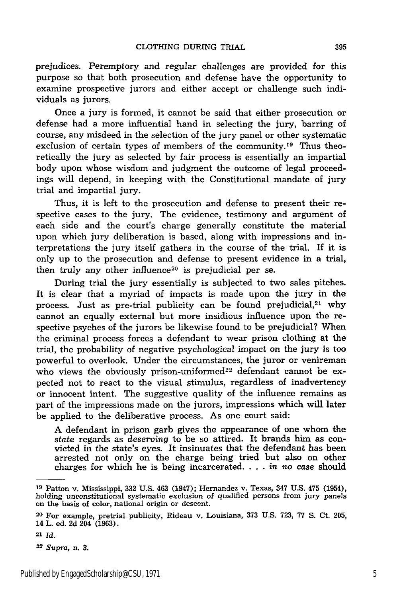prejudices. Peremptory and regular challenges are provided for this purpose so that both prosecution and defense have the opportunity to examine prospective jurors and either accept or challenge such individuals as jurors.

Once a jury is formed, it cannot be said that either prosecution or defense had a more influential hand in selecting the jury, barring of course, any misdeed in the selection of the jury panel or other systematic exclusion of certain types of members of the community.<sup>19</sup> Thus theoretically the jury as selected by fair process is essentially an impartial body upon whose wisdom and judgment the outcome of legal proceedings will depend, in keeping with the Constitutional mandate of jury trial and impartial jury.

Thus, it is left to the prosecution and defense to present their respective cases to the jury. The evidence, testimony and argument of each side and the court's charge generally constitute the material upon which jury deliberation is based, along with impressions and interpretations the jury itself gathers in the course of the trial. If it is only up to the prosecution and defense to present evidence in a trial, then truly any other influence<sup>20</sup> is prejudicial per se.

During trial the jury essentially is subjected to two sales pitches. It is clear that a myriad of impacts is made upon the jury in the process. Just as pre-trial publicity can be found prejudicial, $21$  why cannot an equally external but more insidious influence upon the respective psyches of the jurors be likewise found to be prejudicial? When the criminal process forces a defendant to wear prison clothing at the trial, the probability of negative psychological impact on the jury is too powerful to overlook. Under the circumstances, the juror or venireman who views the obviously prison-uniformed<sup>22</sup> defendant cannot be expected not to react to the visual stimulus, regardless of inadvertency or innocent intent. The suggestive quality of the influence remains as part of the impressions made on the jurors, impressions which will later be applied to the deliberative process. As one court said:

A defendant in prison garb gives the appearance of one whom the state regards as *deserving* to be so attired. It brands him as convicted in the state's eyes. It insinuates that the defendant has been arrested not only on the charge being tried but also on other charges for which he is being incarcerated **....** *in no case* should

**<sup>19</sup>**Patton v. Mississippi, **332 U.S.** 463 (1947); Hernandez v. Texas, 347 U.S. 475 (1954), holding unconstitutional systematic exclusion of qualified persons from jury panels on the basis of color, national origin or descent.

**<sup>20</sup>**For example, pretrial publicity, Rideau v. Louisiana, **373** U.S. 723, 77 S. Ct. 205, 14 L. ed. 2d 204 (1963).

**<sup>21</sup>** *Id.*

**<sup>22</sup>***Supra,* n. **3.**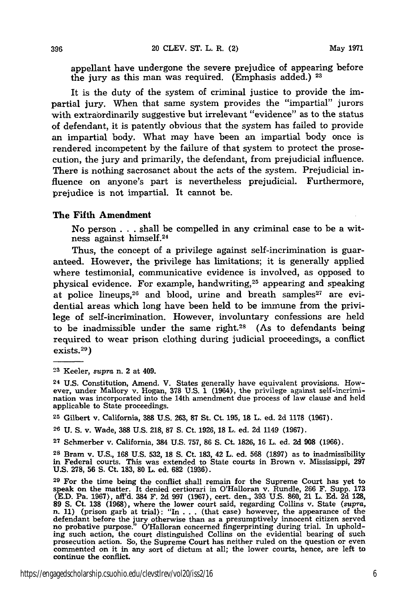appellant have undergone the severe prejudice of appearing before the jury as this man was required. (Emphasis added.) **<sup>23</sup>**

It is the duty of the system of criminal justice to provide the impartial jury. When that same system provides the "impartial" jurors with extraordinarily suggestive but irrelevant "evidence" as to the status of defendant, it is patently obvious that the system has failed to provide an impartial body. What may have been an impartial body once is rendered incompetent **by** the failure of that system to protect the prosecution, the jury and primarily, the defendant, from prejudicial influence. There is nothing sacrosanct about the acts of the system. Prejudicial influence on anyone's part is nevertheless prejudicial. Furthermore, prejudice is not impartial. It cannot be.

#### The Fifth **Amendment**

No person **. . .** shall be compelled in any criminal case to be a witness against himself.<sup>24</sup>

Thus, the concept of a privilege against self-incrimination is guaranteed. However, the privilege has limitations; it is generally applied where testimonial, communicative evidence is involved, as opposed to physical evidence. For example, handwriting, 25 appearing and speaking at police lineups,<sup>26</sup> and blood, urine and breath samples<sup>27</sup> are evidential areas which long have been held to be immune from the privilege of self-incrimination. However, involuntary confessions are held to be inadmissible under the same right.28 (As to defendants being required to wear prison clothing during judicial proceedings, a conflict exists. <sup>29</sup> )

**26 U. S.** v. Wade, **388 U.S. 218, 87 S.** Ct. **1926, 18** L. ed. **2d** 1149 **(1967).**

**27** Schmerber v. California, 384 **U.S. 757, 86 S.** Ct. **1826, 16** L. **ed. 2d 908 (1966).**

**28 Brain** v. **U.S., 168 U.S. 532, 18 S.** Ct. **183,** 42 L. ed. **568 (1897)** as to inadmissibility **in** Federal courts. This was extended to State courts in Brown v. Mississippi, **297 U.S. 278, 56 S.** Ct. **183, 80** L. ed. **682 (1936).**

**<sup>23</sup>**Keeler, *supra* n. 2 at 409.

**<sup>24</sup> U.S.** Constitution, Amend. V. States generally have equivalent provisions. However, under Mallory v. Hogan, **378 U.S. 1** (1964), the privilege against self-incrimination was incorporated into the 14th amendment due process of law clause and held applicable to State proceedings.

**<sup>25</sup>**Gilbert v. California, **388 U.S. 263, 87** St. Ct. **195, 18** L. **ed. 2d 1178 (1967).**

**<sup>29</sup>** For the time being the conflict shall remain for the Supreme Court has yet to speak on the matter. It denied certiorari in O'Halloran v. Rundle, **266** F. Supp. **173 (E.D.** Pa. **1967),** aff'd. 384 F. **2d 997 (1967),** cert. den., **393 U.S. 860,** 21 L. **Ed. 2d 128, 89 S.** Ct. **138 (1968),** where the lower court said, regarding Collins v. State *(supra,* n. **11)** (prison garb at trial): "In **. . .** (that case) however, the appearance of the defendant before the jury otherwise than as a presumptively innocent citizen served no probative purpose." O'Halloran concerned fingerprinting during trial. In uphold-ing such action, the court distinguished Collins on the evidential bearing of such prosecution action. So, the Supreme Court has neither ruled on the question or even commented on it in any sort of dictum at all; the lower courts, hence, are left to continue the conflict.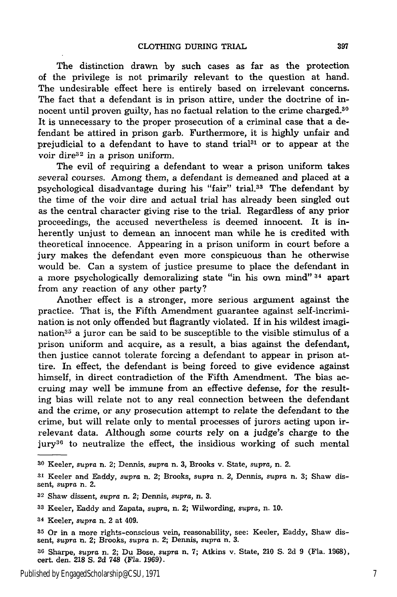The distinction drawn by such cases as far as the protection of the privilege is not primarily relevant to the question at hand. The undesirable effect here is entirely based on irrelevant concerns. The fact that a defendant is in prison attire, under the doctrine of innocent until proven guilty, has no factual relation to the crime charged.<sup>30</sup> It is unnecessary to the proper prosecution of a criminal case that a defendant be attired in prison garb. Furthermore, it is **highly** unfair and prejudicial to a defendant to have to stand trial<sup>31</sup> or to appear at the voir dire $32$  in a prison uniform.

The evil of requiring a defendant to wear a prison uniform takes several courses. Among them, a defendant is demeaned and placed at a psychological disadvantage during his "fair" trial.33 The defendant by the time of the voir dire and actual trial has already been singled out as the central character giving rise to the trial. Regardless of any prior proceedings, the accused nevertheless is deemed innocent. It is inherently unjust to demean an innocent man while he is credited with theoretical innocence. Appearing in a prison uniform in court before a jury makes the defendant even more conspicuous than he otherwise would be. Can a system of justice presume to place the defendant in a more psychologically demoralizing state "in his own mind" 34 apart from any reaction of any other party?

Another effect is a stronger, more serious argument against the practice. That is, the Fifth Amendment guarantee against self-incrimination is not only offended but flagrantly violated. If in his wildest imagination<sup>35</sup> a juror can be said to be susceptible to the visible stimulus of a prison uniform and acquire, as a result, a bias against the defendant, then justice cannot tolerate forcing a defendant to appear in prison attire. In effect, the defendant is being forced to give evidence against himself, in direct contradiction of the Fifth Amendment. The bias accruing may well be immune from an effective defense, for the resulting bias will relate not to any real connection between the defendant and the crime, or any prosecution attempt to relate the defendant to the crime, but will relate only to mental processes of jurors acting upon irrelevant data. Although some courts rely on a judge's charge to the jury<sup>36</sup> to neutralize the effect, the insidious working of such mental

- **<sup>33</sup>**Keeler, Eaddy and Zapata, *supra,* n. 2; Wilwording, *supra,* n. 10.
- **<sup>34</sup>**Keeler, *supra* n. 2 at 409.

**<sup>30</sup>**Keeler, *supra* n. 2; Dennis, *supra* n. 3, Brooks v. State, *supra,* n. 2.

**<sup>31</sup>** Keeler and Eaddy, *supra* n. 2; Brooks, *supra* n. 2, Dennis, *supra* n. 3; Shaw dissent, *supra* n. 2.

**<sup>32</sup>**Shaw dissent, *supra* n. 2; Dennis, *supra,* n. 3.

**<sup>35</sup>** Or in a more rights-conscious vein, reasonability, see: Keeler, Eaddy, Shaw dissent, *supra* a. 2; Brooks, *supra* n. 2; Dennis, *supra* n. 3.

**<sup>36</sup>**Sharpe, supra n. 2; Du Bose, *supra* n. 7; Atkins v. State, 210 S. 2d 9 (Fla. 1968), cert. den. 218 S. 2d 748 (Fla. 1969).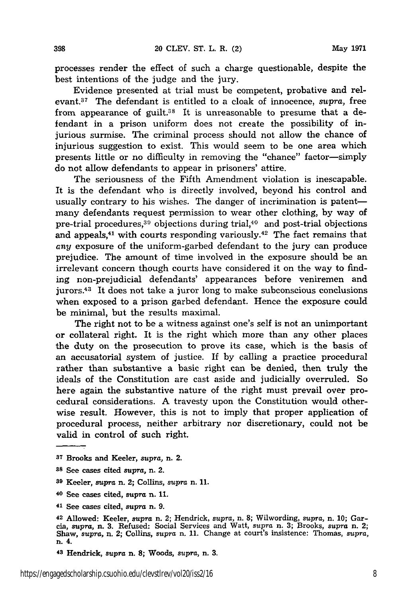processes render the effect of such a charge questionable, despite the best intentions of the judge and the jury.

Evidence presented at trial must be competent, probative and relevant.<sup>37</sup> The defendant is entitled to a cloak of innocence, *supra*, free from appearance of guilt.<sup>38</sup> It is unreasonable to presume that a defendant in a prison uniform does not create the possibility of injurious surmise. The criminal process should not allow the chance of injurious suggestion to exist. This would seem to be one area which presents little or no difficulty in removing the "chance" factor-simply do not allow defendants to appear in prisoners' attire.

The seriousness of the Fifth Amendment violation is inescapable. It is the defendant who is directly involved, beyond his control and usually contrary to his wishes. The danger of incrimination is patentmany defendants request permission to wear other clothing, by way of pre-trial procedures, $39$  objections during trial, $40$  and post-trial objections and appeals, $41$  with courts responding variously. $42$  The fact remains that *any* exposure of the uniform-garbed defendant to the jury can produce prejudice. The amount of time involved in the exposure should be an irrelevant concern though courts have considered it on the way to finding non-prejudicial defendants' appearances before veniremen and jurors.<sup>43</sup> It does not take a juror long to make subconscious conclusions when exposed to a prison garbed defendant. Hence the exposure could be minimal, but the results maximal.

The right not to be a witness against one's self is not an unimportant or collateral right. It is the right which more than any other places the duty on the prosecution to prove its case, which is the basis of an accusatorial system of justice. If by calling a practice procedural rather than substantive a basic right can be denied, then truly the ideals of the Constitution are cast aside and judicially overruled. So here again the substantive nature of the right must prevail over procedural considerations. A travesty upon the Constitution would otherwise result. However, this is not to imply that proper application of procedural process, neither arbitrary nor discretionary, could not be valid in control of such right.

- **<sup>37</sup>**Brooks and Keeler, *supra,* n. 2.
- **<sup>38</sup>**See cases cited *supra,* n. 2.

398

- **<sup>39</sup>**Keeler, *supra* n. 2; Collins, supra n. **11.**
- 40 See cases cited, supra n. **11.**
- **<sup>41</sup>**See cases cited, supra n. 9.

<sup>42</sup> Allowed: Keeler, *supra* n. 2; Hendrick, *supra,* n. **8;** Wilwording, supra, n. 10; Garresponse. In the Second Services and Watt, supra n. 3; Brooks, supra n. 2;<br>Shaw, supra, n. 3. Refused: Social Services and Watt, supra n. 3; Brooks, supra n. 2;<br>Shaw, supra, n. 2; Collins, supra n. 11. Change at court's in

**<sup>43</sup>**Hendrick, supra n. **8;** Woods, *supra,* n. 3.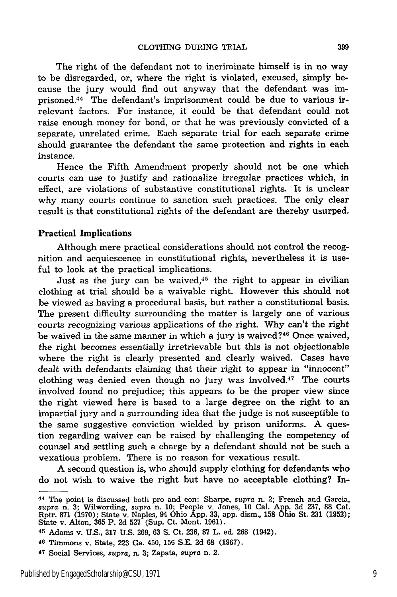The right of the defendant not to incriminate himself is in no way to be disregarded, or, where the right is violated, excused, simply because the jury would find out anyway that the defendant was imprisoned.<sup>44</sup> The defendant's imprisonment could be due to various irrelevant factors. For instance, it could be that defendant could not raise enough money for bond, or that he was previously convicted of a separate, unrelated crime. Each separate trial for each separate crime should guarantee the defendant the same protection and rights in each instance.

Hence the Fifth Amendment properly should not be one which courts can use to justify and rationalize irregular practices which, in effect, are violations of substantive constitutional rights. It is unclear why many courts continue to sanction such practices. The only clear result is that constitutional rights of the defendant are thereby usurped.

#### **Practical Implications**

Although mere practical considerations should not control the recognition and acquiescence in constitutional rights, nevertheless it is useful to look at the practical implications.

Just as the jury can be waived, $45$  the right to appear in civilian clothing at trial should be a waivable right. However this should not be viewed as having a procedural basis, but rather a constitutional basis. The present difficulty surrounding the matter is largely one of various courts recognizing various applications of the right. Why can't the right be waived in the same manner in which a jury is waived?<sup>46</sup> Once waived, the right becomes essentially irretrievable but this is not objectionable where the right is clearly presented and clearly waived. Cases have dealt with defendants claiming that their right to appear in "innocent" clothing was denied even though no jury was involved.47 The courts involved found no prejudice; this appears to be the proper view since the right viewed here is based to a large degree on the right to an impartial jury and a surrounding idea that the judge is not susceptible to the same suggestive conviction wielded by prison uniforms. A question regarding waiver can be raised by challenging the competency of counsel and settling such a charge by a defendant should not be such a vexatious problem. There is no reason for vexatious result.

A second question is, who should supply clothing for defendants who do not wish to waive the right but have no acceptable clothing? In-

**<sup>44</sup>**The point is discussed both pro and con: Sharpe, *supra* n. 2; French and Garcia, supra n. 3; Wilwording, *supra* n. 10; People v. Jones, 10 Cal. App. 3d 237, 88 Cal. Rptr. **871** (1970); State v. Naples, 94 Ohio App. 33, app. dism., **158** Ohio St. 231 (1952); State v. Alton, 365 P. **2d 527** (Sup. Ct. Mont. 1961).

<sup>45</sup> Adams v. U.S., 317 U.S. 269, 63 **S.** Ct. 236, **87** L. ed. **268** (1942).

**<sup>46</sup>** Timmons v. State, **223** Ga. 450, 156 S.E. **2d 68** (1967).

**<sup>47</sup>**Social Services, supra, n. **3;** Zapata, *supra* n. 2.